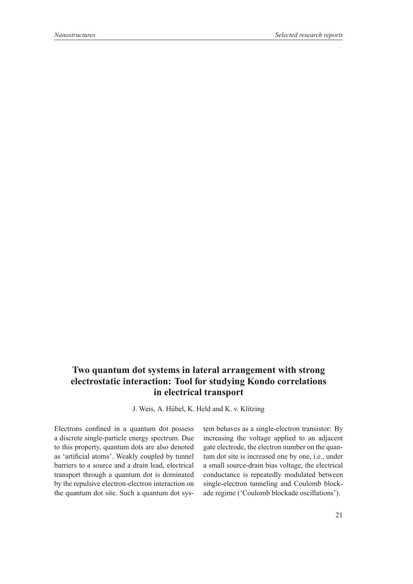## **Two quantum dot systems in lateral arrangement with strong electrostatic interaction: Tool for studying Kondo correlations in electrical transport**

J. Weis, A. Hübel, K. Held and K. v. Klitzing

Electrons confined in a quantum dot possess a discrete single-particle energy spectrum. Due to this property, quantum dots are also denoted as 'artificial atoms'. Weakly coupled by tunnel barriers to a source and a drain lead, electrical transport through a quantum dot is dominated by the repulsive electron-electron interaction on the quantum dot site. Such a quantum dot system behaves as a single-electron transistor: By increasing the voltage applied to an adjacent gate electrode, the electron number on the quantum dot site is increased one by one, i.e., under a small source-drain bias voltage, the electrical conductance is repeatedly modulated between single-electron tunneling and Coulomb blockade regime ('Coulomb blockade oscillations').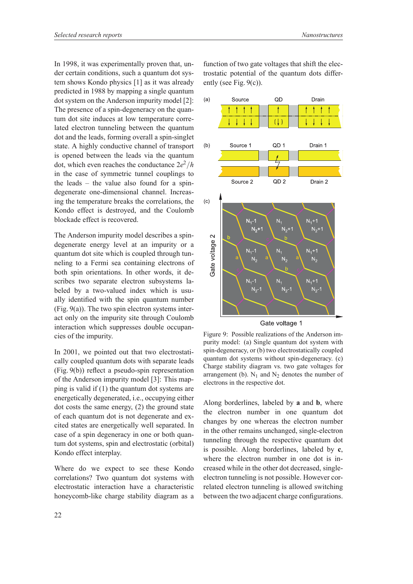In 1998, it was experimentally proven that, under certain conditions, such a quantum dot system shows Kondo physics [1] as it was already predicted in 1988 by mapping a single quantum dot system on the Anderson impurity model [2]: The presence of a spin-degeneracy on the quantum dot site induces at low temperature correlated electron tunneling between the quantum dot and the leads, forming overall a spin-singlet state. A highly conductive channel of transport is opened between the leads via the quantum dot, which even reaches the conductance  $2e^2/h$ in the case of symmetric tunnel couplings to the leads – the value also found for a spindegenerate one-dimensional channel. Increasing the temperature breaks the correlations, the Kondo effect is destroyed, and the Coulomb blockade effect is recovered.

The Anderson impurity model describes a spindegenerate energy level at an impurity or a quantum dot site which is coupled through tunneling to a Fermi sea containing electrons of both spin orientations. In other words, it describes two separate electron subsystems labeled by a two-valued index which is usually identified with the spin quantum number (Fig. 9(a)). The two spin electron systems interact only on the impurity site through Coulomb interaction which suppresses double occupancies of the impurity.

In 2001, we pointed out that two electrostatically coupled quantum dots with separate leads (Fig. 9(b)) reflect a pseudo-spin representation of the Anderson impurity model [3]: This mapping is valid if (1) the quantum dot systems are energetically degenerated, i.e., occupying either dot costs the same energy, (2) the ground state of each quantum dot is not degenerate and excited states are energetically well separated. In case of a spin degeneracy in one or both quantum dot systems, spin and electrostatic (orbital) Kondo effect interplay.

Where do we expect to see these Kondo correlations? Two quantum dot systems with electrostatic interaction have a characteristic honeycomb-like charge stability diagram as a

function of two gate voltages that shift the electrostatic potential of the quantum dots differently (see Fig. 9(c)).



Gate voltage 1

Figure 9: Possible realizations of the Anderson impurity model: (a) Single quantum dot system with spin-degeneracy, or (b) two electrostatically coupled quantum dot systems without spin-degeneracy. (c) Charge stability diagram vs. two gate voltages for arrangement (b).  $N_1$  and  $N_2$  denotes the number of electrons in the respective dot.

Along borderlines, labeled by **a** and **b**, where the electron number in one quantum dot changes by one whereas the electron number in the other remains unchanged, single-electron tunneling through the respective quantum dot is possible. Along borderlines, labeled by **c**, where the electron number in one dot is increased while in the other dot decreased, singleelectron tunneling is not possible. However correlated electron tunneling is allowed switching between the two adjacent charge configurations.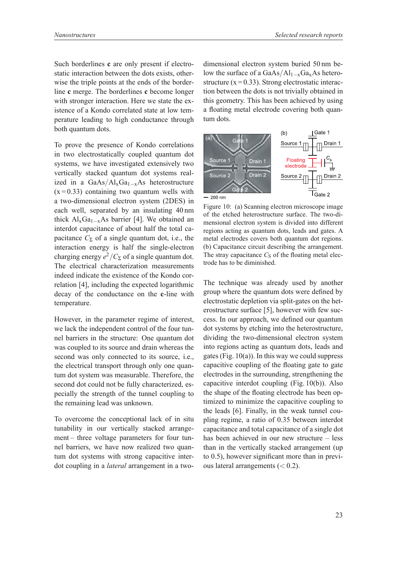Such borderlines **c** are only present if electrostatic interaction between the dots exists, otherwise the triple points at the ends of the borderline **c** merge. The borderlines **c** become longer with stronger interaction. Here we state the existence of a Kondo correlated state at low temperature leading to high conductance through both quantum dots.

To prove the presence of Kondo correlations in two electrostatically coupled quantum dot systems, we have investigated extensively two vertically stacked quantum dot systems realized in a GaAs/Al<sub>x</sub>Ga<sub>1−x</sub>As heterostructure  $(x=0.33)$  containing two quantum wells with a two-dimensional electron system (2DES) in each well, separated by an insulating 40 nm thick  $Al_xGa_{1-x}As$  barrier [4]. We obtained an interdot capacitance of about half the total capacitance  $C_{\Sigma}$  of a single quantum dot, i.e., the interaction energy is half the single-electron charging energy  $e^2/C_{\Sigma}$  of a single quantum dot. The electrical characterization measurements indeed indicate the existence of the Kondo correlation [4], including the expected logarithmic decay of the conductance on the **c**-line with temperature.

However, in the parameter regime of interest, we lack the independent control of the four tunnel barriers in the structure: One quantum dot was coupled to its source and drain whereas the second was only connected to its source, i.e., the electrical transport through only one quantum dot system was measurable. Therefore, the second dot could not be fully characterized, especially the strength of the tunnel coupling to the remaining lead was unknown.

To overcome the conceptional lack of in situ tunability in our vertically stacked arrangement – three voltage parameters for four tunnel barriers, we have now realized two quantum dot systems with strong capacitive interdot coupling in a *lateral* arrangement in a two-

dimensional electron system buried 50 nm below the surface of a GaAs/Al<sub>1−x</sub>Ga<sub>x</sub>As heterostructure  $(x = 0.33)$ . Strong electrostatic interaction between the dots is not trivially obtained in this geometry. This has been achieved by using a floating metal electrode covering both quantum dots.



Figure 10: (a) Scanning electron microscope image of the etched heterostructure surface. The two-dimensional electron system is divided into different regions acting as quantum dots, leads and gates. A metal electrodes covers both quantum dot regions. (b) Capacitance circuit describing the arrangement. The stray capacitance  $C<sub>S</sub>$  of the floating metal electrode has to be diminished.

The technique was already used by another group where the quantum dots were defined by electrostatic depletion via split-gates on the heterostructure surface [5], however with few success. In our approach, we defined our quantum dot systems by etching into the heterostructure, dividing the two-dimensional electron system into regions acting as quantum dots, leads and gates (Fig.  $10(a)$ ). In this way we could suppress capacitive coupling of the floating gate to gate electrodes in the surrounding, strengthening the capacitive interdot coupling (Fig. 10(b)). Also the shape of the floating electrode has been optimized to minimize the capacitive coupling to the leads [6]. Finally, in the weak tunnel coupling regime, a ratio of 0.35 between interdot capacitance and total capacitance of a single dot has been achieved in our new structure – less than in the vertically stacked arrangement (up to 0.5), however significant more than in previous lateral arrangements  $( $0.2$ ).$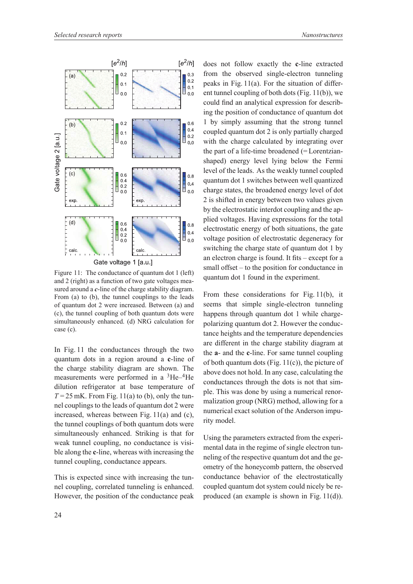



Figure 11: The conductance of quantum dot 1 (left) and 2 (right) as a function of two gate voltages measured around a *c*-line of the charge stability diagram. From (a) to (b), the tunnel couplings to the leads of quantum dot 2 were increased. Between (a) and (c), the tunnel coupling of both quantum dots were simultaneously enhanced. (d) NRG calculation for case (c).

In Fig. 11 the conductances through the two quantum dots in a region around a **c**-line of the charge stability diagram are shown. The measurements were performed in a 3He–4He dilution refrigerator at base temperature of  $T = 25$  mK. From Fig. 11(a) to (b), only the tunnel couplings to the leads of quantum dot 2 were increased, whereas between Fig. 11(a) and (c), the tunnel couplings of both quantum dots were simultaneously enhanced. Striking is that for weak tunnel coupling, no conductance is visible along the **c**-line, whereas with increasing the tunnel coupling, conductance appears.

This is expected since with increasing the tunnel coupling, correlated tunneling is enhanced. However, the position of the conductance peak

does not follow exactly the **c**-line extracted from the observed single-electron tunneling peaks in Fig. 11(a). For the situation of different tunnel coupling of both dots (Fig. 11(b)), we could find an analytical expression for describing the position of conductance of quantum dot 1 by simply assuming that the strong tunnel coupled quantum dot 2 is only partially charged with the charge calculated by integrating over the part of a life-time broadened (= Lorentzianshaped) energy level lying below the Fermi level of the leads. As the weakly tunnel coupled quantum dot 1 switches between well quantized charge states, the broadened energy level of dot 2 is shifted in energy between two values given by the electrostatic interdot coupling and the applied voltages. Having expressions for the total electrostatic energy of both situations, the gate voltage position of electrostatic degeneracy for switching the charge state of quantum dot 1 by an electron charge is found. It fits – except for a small offset – to the position for conductance in quantum dot 1 found in the experiment.

From these considerations for Fig. 11(b), it seems that simple single-electron tunneling happens through quantum dot 1 while chargepolarizing quantum dot 2. However the conductance heights and the temperature dependencies are different in the charge stability diagram at the **a**- and the **c**-line. For same tunnel coupling of both quantum dots (Fig.  $11(c)$ ), the picture of above does not hold. In any case, calculating the conductances through the dots is not that simple. This was done by using a numerical renormalization group (NRG) method, allowing for a numerical exact solution of the Anderson impurity model.

Using the parameters extracted from the experimental data in the regime of single electron tunneling of the respective quantum dot and the geometry of the honeycomb pattern, the observed conductance behavior of the electrostatically coupled quantum dot system could nicely be reproduced (an example is shown in Fig. 11(d)).